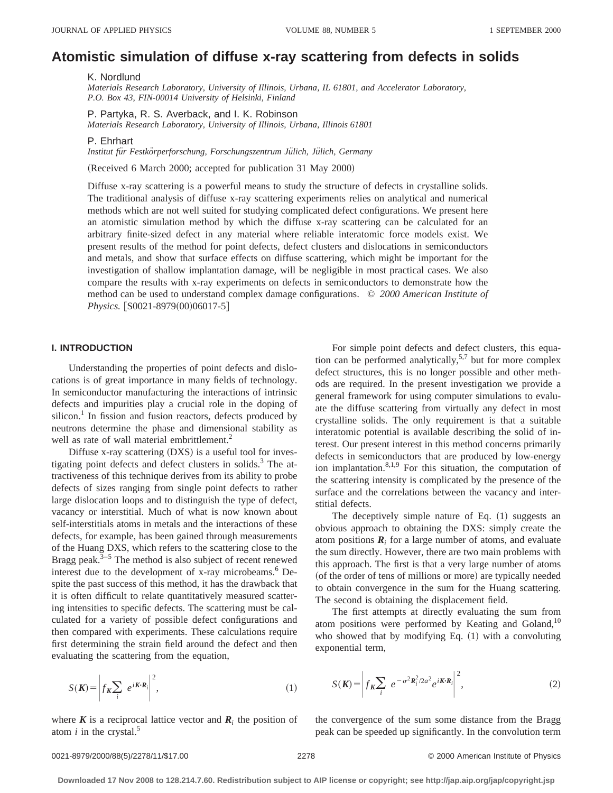# **Atomistic simulation of diffuse x-ray scattering from defects in solids**

K. Nordlund

*Materials Research Laboratory, University of Illinois, Urbana, IL 61801, and Accelerator Laboratory, P.O. Box 43, FIN-00014 University of Helsinki, Finland*

P. Partyka, R. S. Averback, and I. K. Robinson

*Materials Research Laboratory, University of Illinois, Urbana, Illinois 61801*

P. Ehrhart

Institut für Festkörperforschung, Forschungszentrum Jülich, Jülich, Germany

(Received 6 March 2000; accepted for publication 31 May 2000)

Diffuse x-ray scattering is a powerful means to study the structure of defects in crystalline solids. The traditional analysis of diffuse x-ray scattering experiments relies on analytical and numerical methods which are not well suited for studying complicated defect configurations. We present here an atomistic simulation method by which the diffuse x-ray scattering can be calculated for an arbitrary finite-sized defect in any material where reliable interatomic force models exist. We present results of the method for point defects, defect clusters and dislocations in semiconductors and metals, and show that surface effects on diffuse scattering, which might be important for the investigation of shallow implantation damage, will be negligible in most practical cases. We also compare the results with x-ray experiments on defects in semiconductors to demonstrate how the method can be used to understand complex damage configurations. © *2000 American Institute of Physics.* [S0021-8979(00)06017-5]

## **I. INTRODUCTION**

Understanding the properties of point defects and dislocations is of great importance in many fields of technology. In semiconductor manufacturing the interactions of intrinsic defects and impurities play a crucial role in the doping of silicon.<sup>1</sup> In fission and fusion reactors, defects produced by neutrons determine the phase and dimensional stability as well as rate of wall material embrittlement.<sup>2</sup>

Diffuse x-ray scattering  $(DXS)$  is a useful tool for investigating point defects and defect clusters in solids. $3$  The attractiveness of this technique derives from its ability to probe defects of sizes ranging from single point defects to rather large dislocation loops and to distinguish the type of defect, vacancy or interstitial. Much of what is now known about self-interstitials atoms in metals and the interactions of these defects, for example, has been gained through measurements of the Huang DXS, which refers to the scattering close to the Bragg peak.<sup>3-5</sup> The method is also subject of recent renewed interest due to the development of x-ray microbeams.<sup>6</sup> Despite the past success of this method, it has the drawback that it is often difficult to relate quantitatively measured scattering intensities to specific defects. The scattering must be calculated for a variety of possible defect configurations and then compared with experiments. These calculations require first determining the strain field around the defect and then evaluating the scattering from the equation,

$$
S(K) = \left| f_K \sum_i e^{iK \cdot R_i} \right|^2, \tag{1}
$$

where  $K$  is a reciprocal lattice vector and  $R_i$  the position of atom  $i$  in the crystal.<sup>5</sup>

For simple point defects and defect clusters, this equation can be performed analytically,  $5.7$  but for more complex defect structures, this is no longer possible and other methods are required. In the present investigation we provide a general framework for using computer simulations to evaluate the diffuse scattering from virtually any defect in most crystalline solids. The only requirement is that a suitable interatomic potential is available describing the solid of interest. Our present interest in this method concerns primarily defects in semiconductors that are produced by low-energy ion implantation. $8,1,9$  For this situation, the computation of the scattering intensity is complicated by the presence of the surface and the correlations between the vacancy and interstitial defects.

The deceptively simple nature of Eq.  $(1)$  suggests an obvious approach to obtaining the DXS: simply create the atom positions  $\mathbf{R}_i$  for a large number of atoms, and evaluate the sum directly. However, there are two main problems with this approach. The first is that a very large number of atoms (of the order of tens of millions or more) are typically needed to obtain convergence in the sum for the Huang scattering. The second is obtaining the displacement field.

The first attempts at directly evaluating the sum from atom positions were performed by Keating and Goland, $10$ who showed that by modifying Eq.  $(1)$  with a convoluting exponential term,

$$
S(\mathbf{K}) = \left| f_{\mathbf{K}} \sum_{i} e^{-\sigma^2 \mathbf{R}_i^2 / 2a^2} e^{i \mathbf{K} \cdot \mathbf{R}_i} \right|^2, \tag{2}
$$

the convergence of the sum some distance from the Bragg peak can be speeded up significantly. In the convolution term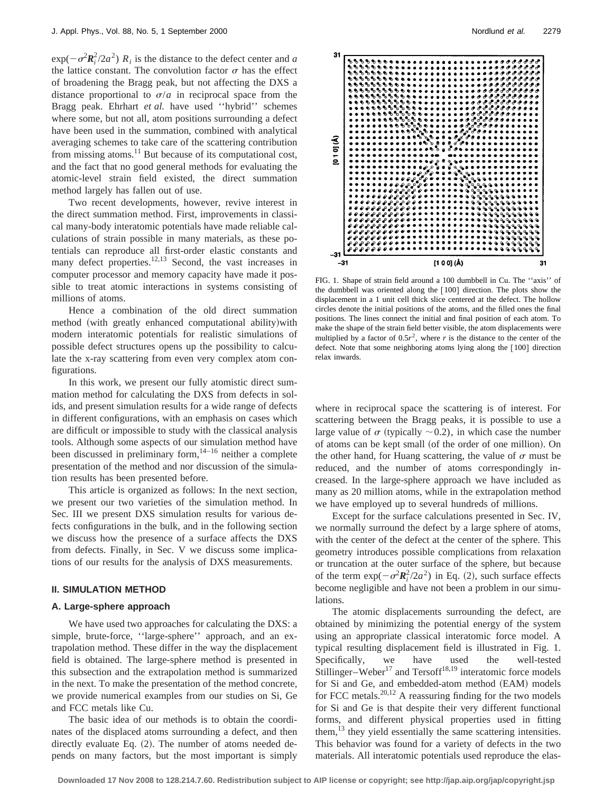$\exp(-\sigma^2 R_i^2/2a^2) R_i$  is the distance to the defect center and *a* the lattice constant. The convolution factor  $\sigma$  has the effect of broadening the Bragg peak, but not affecting the DXS a distance proportional to  $\sigma/a$  in reciprocal space from the Bragg peak. Ehrhart *et al.* have used ''hybrid'' schemes where some, but not all, atom positions surrounding a defect have been used in the summation, combined with analytical averaging schemes to take care of the scattering contribution from missing atoms. $^{11}$  But because of its computational cost, and the fact that no good general methods for evaluating the atomic-level strain field existed, the direct summation method largely has fallen out of use.

Two recent developments, however, revive interest in the direct summation method. First, improvements in classical many-body interatomic potentials have made reliable calculations of strain possible in many materials, as these potentials can reproduce all first-order elastic constants and many defect properties.<sup>12,13</sup> Second, the vast increases in computer processor and memory capacity have made it possible to treat atomic interactions in systems consisting of millions of atoms.

Hence a combination of the old direct summation method (with greatly enhanced computational ability) with modern interatomic potentials for realistic simulations of possible defect structures opens up the possibility to calculate the x-ray scattering from even very complex atom configurations.

In this work, we present our fully atomistic direct summation method for calculating the DXS from defects in solids, and present simulation results for a wide range of defects in different configurations, with an emphasis on cases which are difficult or impossible to study with the classical analysis tools. Although some aspects of our simulation method have been discussed in preliminary form,  $14-16$  neither a complete presentation of the method and nor discussion of the simulation results has been presented before.

This article is organized as follows: In the next section, we present our two varieties of the simulation method. In Sec. III we present DXS simulation results for various defects configurations in the bulk, and in the following section we discuss how the presence of a surface affects the DXS from defects. Finally, in Sec. V we discuss some implications of our results for the analysis of DXS measurements.

## **II. SIMULATION METHOD**

#### **A. Large-sphere approach**

We have used two approaches for calculating the DXS: a simple, brute-force, ''large-sphere'' approach, and an extrapolation method. These differ in the way the displacement field is obtained. The large-sphere method is presented in this subsection and the extrapolation method is summarized in the next. To make the presentation of the method concrete, we provide numerical examples from our studies on Si, Ge and FCC metals like Cu.

The basic idea of our methods is to obtain the coordinates of the displaced atoms surrounding a defect, and then directly evaluate Eq.  $(2)$ . The number of atoms needed depends on many factors, but the most important is simply



FIG. 1. Shape of strain field around a 100 dumbbell in Cu. The ''axis'' of the dumbbell was oriented along the [100] direction. The plots show the displacement in a 1 unit cell thick slice centered at the defect. The hollow circles denote the initial positions of the atoms, and the filled ones the final positions. The lines connect the initial and final position of each atom. To make the shape of the strain field better visible, the atom displacements were multiplied by a factor of  $0.5r^2$ , where *r* is the distance to the center of the defect. Note that some neighboring atoms lying along the  $[100]$  direction relax inwards.

where in reciprocal space the scattering is of interest. For scattering between the Bragg peaks, it is possible to use a large value of  $\sigma$  (typically  $\sim$  0.2), in which case the number of atoms can be kept small (of the order of one million). On the other hand, for Huang scattering, the value of  $\sigma$  must be reduced, and the number of atoms correspondingly increased. In the large-sphere approach we have included as many as 20 million atoms, while in the extrapolation method we have employed up to several hundreds of millions.

Except for the surface calculations presented in Sec. IV, we normally surround the defect by a large sphere of atoms, with the center of the defect at the center of the sphere. This geometry introduces possible complications from relaxation or truncation at the outer surface of the sphere, but because of the term  $\exp(-\sigma^2 \mathbf{R}_i^2 / 2a^2)$  in Eq. (2), such surface effects become negligible and have not been a problem in our simulations.

The atomic displacements surrounding the defect, are obtained by minimizing the potential energy of the system using an appropriate classical interatomic force model. A typical resulting displacement field is illustrated in Fig. 1. Specifically, we have used the well-tested Stillinger–Weber<sup>17</sup> and Tersoff<sup>18,19</sup> interatomic force models for Si and Ge, and embedded-atom method (EAM) models for FCC metals.<sup>20,12</sup> A reassuring finding for the two models for Si and Ge is that despite their very different functional forms, and different physical properties used in fitting them, $^{13}$  they yield essentially the same scattering intensities. This behavior was found for a variety of defects in the two materials. All interatomic potentials used reproduce the elas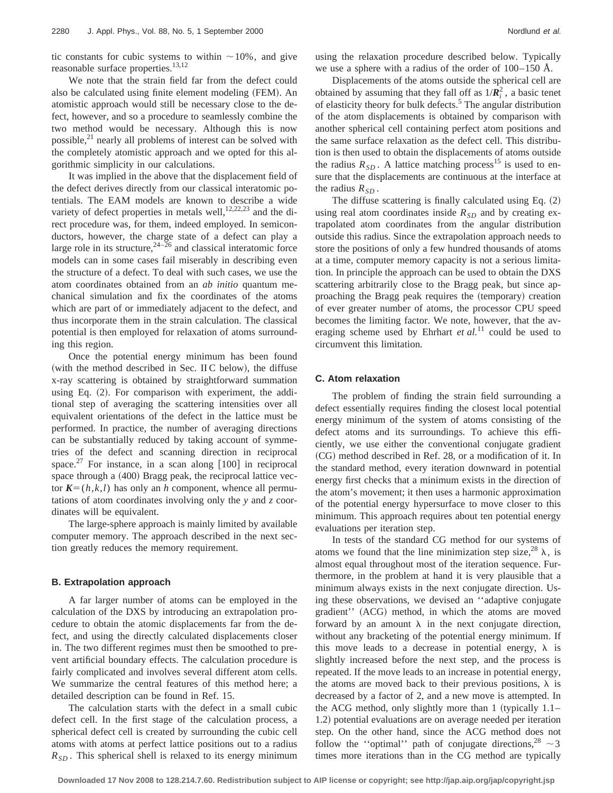tic constants for cubic systems to within  $\sim$ 10%, and give reasonable surface properties.<sup>13,12</sup>

We note that the strain field far from the defect could also be calculated using finite element modeling (FEM). An atomistic approach would still be necessary close to the defect, however, and so a procedure to seamlessly combine the two method would be necessary. Although this is now possible, $^{21}$  nearly all problems of interest can be solved with the completely atomistic approach and we opted for this algorithmic simplicity in our calculations.

It was implied in the above that the displacement field of the defect derives directly from our classical interatomic potentials. The EAM models are known to describe a wide variety of defect properties in metals well, $12,22,23$  and the direct procedure was, for them, indeed employed. In semiconductors, however, the charge state of a defect can play a large role in its structure,  $24-26$  and classical interatomic force models can in some cases fail miserably in describing even the structure of a defect. To deal with such cases, we use the atom coordinates obtained from an *ab initio* quantum mechanical simulation and fix the coordinates of the atoms which are part of or immediately adjacent to the defect, and thus incorporate them in the strain calculation. The classical potential is then employed for relaxation of atoms surrounding this region.

Once the potential energy minimum has been found (with the method described in Sec. II C below), the diffuse x-ray scattering is obtained by straightforward summation using Eq.  $(2)$ . For comparison with experiment, the additional step of averaging the scattering intensities over all equivalent orientations of the defect in the lattice must be performed. In practice, the number of averaging directions can be substantially reduced by taking account of symmetries of the defect and scanning direction in reciprocal space.<sup>27</sup> For instance, in a scan along  $[100]$  in reciprocal space through a  $(400)$  Bragg peak, the reciprocal lattice vector  $K=(h,k,l)$  has only an *h* component, whence all permutations of atom coordinates involving only the *y* and *z* coordinates will be equivalent.

The large-sphere approach is mainly limited by available computer memory. The approach described in the next section greatly reduces the memory requirement.

#### **B. Extrapolation approach**

A far larger number of atoms can be employed in the calculation of the DXS by introducing an extrapolation procedure to obtain the atomic displacements far from the defect, and using the directly calculated displacements closer in. The two different regimes must then be smoothed to prevent artificial boundary effects. The calculation procedure is fairly complicated and involves several different atom cells. We summarize the central features of this method here; a detailed description can be found in Ref. 15.

The calculation starts with the defect in a small cubic defect cell. In the first stage of the calculation process, a spherical defect cell is created by surrounding the cubic cell atoms with atoms at perfect lattice positions out to a radius *RSD* . This spherical shell is relaxed to its energy minimum using the relaxation procedure described below. Typically we use a sphere with a radius of the order of 100–150 Å.

Displacements of the atoms outside the spherical cell are obtained by assuming that they fall off as  $1/R_i^2$ , a basic tenet of elasticity theory for bulk defects.5 The angular distribution of the atom displacements is obtained by comparison with another spherical cell containing perfect atom positions and the same surface relaxation as the defect cell. This distribution is then used to obtain the displacements of atoms outside the radius  $R_{SD}$ . A lattice matching process<sup>15</sup> is used to ensure that the displacements are continuous at the interface at the radius  $R_{SD}$ .

The diffuse scattering is finally calculated using Eq.  $(2)$ using real atom coordinates inside  $R_{SD}$  and by creating extrapolated atom coordinates from the angular distribution outside this radius. Since the extrapolation approach needs to store the positions of only a few hundred thousands of atoms at a time, computer memory capacity is not a serious limitation. In principle the approach can be used to obtain the DXS scattering arbitrarily close to the Bragg peak, but since approaching the Bragg peak requires the (temporary) creation of ever greater number of atoms, the processor CPU speed becomes the limiting factor. We note, however, that the averaging scheme used by Ehrhart *et al.*<sup>11</sup> could be used to circumvent this limitation.

#### **C. Atom relaxation**

The problem of finding the strain field surrounding a defect essentially requires finding the closest local potential energy minimum of the system of atoms consisting of the defect atoms and its surroundings. To achieve this efficiently, we use either the conventional conjugate gradient (CG) method described in Ref. 28, or a modification of it. In the standard method, every iteration downward in potential energy first checks that a minimum exists in the direction of the atom's movement; it then uses a harmonic approximation of the potential energy hypersurface to move closer to this minimum. This approach requires about ten potential energy evaluations per iteration step.

In tests of the standard CG method for our systems of atoms we found that the line minimization step size,  $^{28}$   $\lambda$ , is almost equal throughout most of the iteration sequence. Furthermore, in the problem at hand it is very plausible that a minimum always exists in the next conjugate direction. Using these observations, we devised an ''adaptive conjugate gradient" (ACG) method, in which the atoms are moved forward by an amount  $\lambda$  in the next conjugate direction, without any bracketing of the potential energy minimum. If this move leads to a decrease in potential energy,  $\lambda$  is slightly increased before the next step, and the process is repeated. If the move leads to an increase in potential energy, the atoms are moved back to their previous positions,  $\lambda$  is decreased by a factor of 2, and a new move is attempted. In the ACG method, only slightly more than 1 (typically  $1.1-$ 1.2) potential evaluations are on average needed per iteration step. On the other hand, since the ACG method does not follow the "optimal" path of conjugate directions,  $28 \sim 3$ times more iterations than in the CG method are typically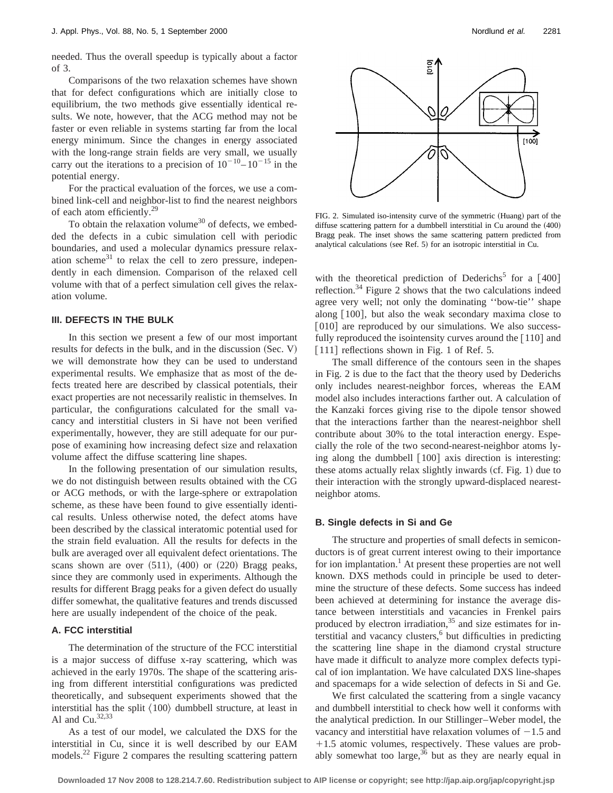needed. Thus the overall speedup is typically about a factor of 3.

Comparisons of the two relaxation schemes have shown that for defect configurations which are initially close to equilibrium, the two methods give essentially identical results. We note, however, that the ACG method may not be faster or even reliable in systems starting far from the local energy minimum. Since the changes in energy associated with the long-range strain fields are very small, we usually carry out the iterations to a precision of  $10^{-10} - 10^{-15}$  in the potential energy.

For the practical evaluation of the forces, we use a combined link-cell and neighbor-list to find the nearest neighbors of each atom efficiently.29

To obtain the relaxation volume<sup>30</sup> of defects, we embedded the defects in a cubic simulation cell with periodic boundaries, and used a molecular dynamics pressure relaxation scheme $31$  to relax the cell to zero pressure, independently in each dimension. Comparison of the relaxed cell volume with that of a perfect simulation cell gives the relaxation volume.

## **III. DEFECTS IN THE BULK**

In this section we present a few of our most important results for defects in the bulk, and in the discussion  $(Sec. V)$ we will demonstrate how they can be used to understand experimental results. We emphasize that as most of the defects treated here are described by classical potentials, their exact properties are not necessarily realistic in themselves. In particular, the configurations calculated for the small vacancy and interstitial clusters in Si have not been verified experimentally, however, they are still adequate for our purpose of examining how increasing defect size and relaxation volume affect the diffuse scattering line shapes.

In the following presentation of our simulation results, we do not distinguish between results obtained with the CG or ACG methods, or with the large-sphere or extrapolation scheme, as these have been found to give essentially identical results. Unless otherwise noted, the defect atoms have been described by the classical interatomic potential used for the strain field evaluation. All the results for defects in the bulk are averaged over all equivalent defect orientations. The scans shown are over  $(511)$ ,  $(400)$  or  $(220)$  Bragg peaks, since they are commonly used in experiments. Although the results for different Bragg peaks for a given defect do usually differ somewhat, the qualitative features and trends discussed here are usually independent of the choice of the peak.

## **A. FCC interstitial**

The determination of the structure of the FCC interstitial is a major success of diffuse x-ray scattering, which was achieved in the early 1970s. The shape of the scattering arising from different interstitial configurations was predicted theoretically, and subsequent experiments showed that the interstitial has the split  $\langle 100 \rangle$  dumbbell structure, at least in Al and Cu.<sup>32,33</sup>

As a test of our model, we calculated the DXS for the interstitial in Cu, since it is well described by our EAM models.<sup>22</sup> Figure 2 compares the resulting scattering pattern



FIG. 2. Simulated iso-intensity curve of the symmetric (Huang) part of the diffuse scattering pattern for a dumbbell interstitial in Cu around the (400) Bragg peak. The inset shows the same scattering pattern predicted from analytical calculations (see Ref. 5) for an isotropic interstitial in Cu.

with the theoretical prediction of Dederichs<sup>5</sup> for a  $[400]$ reflection.<sup>34</sup> Figure 2 shows that the two calculations indeed agree very well; not only the dominating ''bow-tie'' shape along  $[100]$ , but also the weak secondary maxima close to  $[010]$  are reproduced by our simulations. We also successfully reproduced the isointensity curves around the  $[110]$  and  $[111]$  reflections shown in Fig. 1 of Ref. 5.

The small difference of the contours seen in the shapes in Fig. 2 is due to the fact that the theory used by Dederichs only includes nearest-neighbor forces, whereas the EAM model also includes interactions farther out. A calculation of the Kanzaki forces giving rise to the dipole tensor showed that the interactions farther than the nearest-neighbor shell contribute about 30% to the total interaction energy. Especially the role of the two second-nearest-neighbor atoms lying along the dumbbell  $\lceil 100 \rceil$  axis direction is interesting: these atoms actually relax slightly inwards  $(cf. Fig. 1)$  due to their interaction with the strongly upward-displaced nearestneighbor atoms.

## **B. Single defects in Si and Ge**

The structure and properties of small defects in semiconductors is of great current interest owing to their importance for ion implantation.<sup>1</sup> At present these properties are not well known. DXS methods could in principle be used to determine the structure of these defects. Some success has indeed been achieved at determining for instance the average distance between interstitials and vacancies in Frenkel pairs produced by electron irradiation, $35$  and size estimates for interstitial and vacancy clusters, $6$  but difficulties in predicting the scattering line shape in the diamond crystal structure have made it difficult to analyze more complex defects typical of ion implantation. We have calculated DXS line-shapes and spacemaps for a wide selection of defects in Si and Ge.

We first calculated the scattering from a single vacancy and dumbbell interstitial to check how well it conforms with the analytical prediction. In our Stillinger–Weber model, the vacancy and interstitial have relaxation volumes of  $-1.5$  and  $+1.5$  atomic volumes, respectively. These values are probably somewhat too large,  $36$  but as they are nearly equal in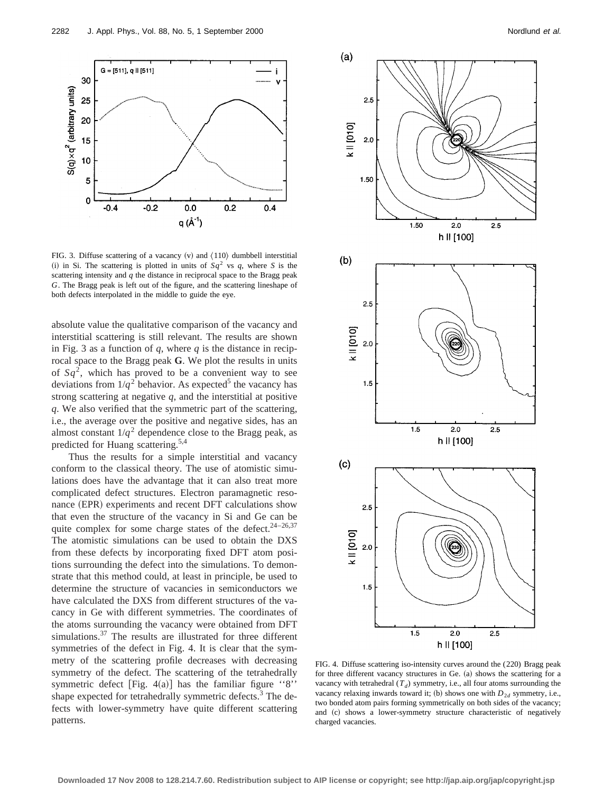

FIG. 3. Diffuse scattering of a vacancy (v) and  $\langle 110 \rangle$  dumbbell interstitial (i) in Si. The scattering is plotted in units of  $Sq^2$  vs *q*, where *S* is the scattering intensity and *q* the distance in reciprocal space to the Bragg peak *G*. The Bragg peak is left out of the figure, and the scattering lineshape of both defects interpolated in the middle to guide the eye.

absolute value the qualitative comparison of the vacancy and interstitial scattering is still relevant. The results are shown in Fig. 3 as a function of *q*, where *q* is the distance in reciprocal space to the Bragg peak **G**. We plot the results in units of  $Sq^2$ , which has proved to be a convenient way to see deviations from  $1/q^2$  behavior. As expected<sup>5</sup> the vacancy has strong scattering at negative *q*, and the interstitial at positive *q*. We also verified that the symmetric part of the scattering, i.e., the average over the positive and negative sides, has an almost constant  $1/q^2$  dependence close to the Bragg peak, as predicted for Huang scattering.5,4

Thus the results for a simple interstitial and vacancy conform to the classical theory. The use of atomistic simulations does have the advantage that it can also treat more complicated defect structures. Electron paramagnetic resonance (EPR) experiments and recent DFT calculations show that even the structure of the vacancy in Si and Ge can be quite complex for some charge states of the defect.<sup>24–26,37</sup> The atomistic simulations can be used to obtain the DXS from these defects by incorporating fixed DFT atom positions surrounding the defect into the simulations. To demonstrate that this method could, at least in principle, be used to determine the structure of vacancies in semiconductors we have calculated the DXS from different structures of the vacancy in Ge with different symmetries. The coordinates of the atoms surrounding the vacancy were obtained from DFT simulations.<sup>37</sup> The results are illustrated for three different symmetries of the defect in Fig. 4. It is clear that the symmetry of the scattering profile decreases with decreasing symmetry of the defect. The scattering of the tetrahedrally symmetric defect [Fig.  $4(a)$ ] has the familiar figure ''8'' shape expected for tetrahedrally symmetric defects.<sup>3</sup> The defects with lower-symmetry have quite different scattering patterns.



FIG. 4. Diffuse scattering iso-intensity curves around the (220) Bragg peak for three different vacancy structures in Ge.  $(a)$  shows the scattering for a vacancy with tetrahedral  $(T_d)$  symmetry, i.e., all four atoms surrounding the vacancy relaxing inwards toward it; (b) shows one with  $D_{2d}$  symmetry, i.e., two bonded atom pairs forming symmetrically on both sides of the vacancy; and (c) shows a lower-symmetry structure characteristic of negatively charged vacancies.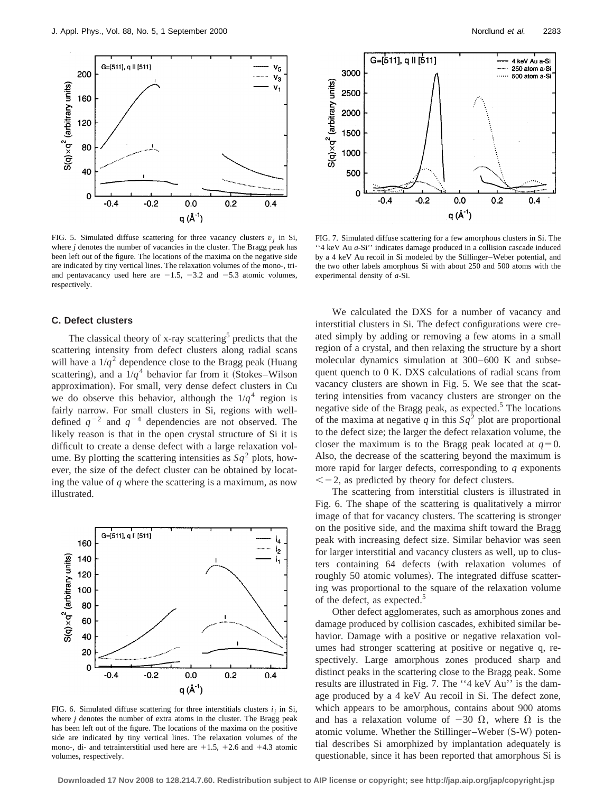

FIG. 5. Simulated diffuse scattering for three vacancy clusters  $v_j$  in Si, where *j* denotes the number of vacancies in the cluster. The Bragg peak has been left out of the figure. The locations of the maxima on the negative side are indicated by tiny vertical lines. The relaxation volumes of the mono-, triand pentavacancy used here are  $-1.5$ ,  $-3.2$  and  $-5.3$  atomic volumes, respectively.

## **C. Defect clusters**

The classical theory of x-ray scattering $\delta$  predicts that the scattering intensity from defect clusters along radial scans will have a  $1/q^2$  dependence close to the Bragg peak (Huang scattering), and a  $1/q<sup>4</sup>$  behavior far from it (Stokes–Wilson approximation). For small, very dense defect clusters in Cu we do observe this behavior, although the  $1/q<sup>4</sup>$  region is fairly narrow. For small clusters in Si, regions with welldefined  $q^{-2}$  and  $q^{-4}$  dependencies are not observed. The likely reason is that in the open crystal structure of Si it is difficult to create a dense defect with a large relaxation volume. By plotting the scattering intensities as  $Sq^2$  plots, however, the size of the defect cluster can be obtained by locating the value of *q* where the scattering is a maximum, as now illustrated.



FIG. 6. Simulated diffuse scattering for three interstitials clusters  $i_j$  in Si, where *j* denotes the number of extra atoms in the cluster. The Bragg peak has been left out of the figure. The locations of the maxima on the positive side are indicated by tiny vertical lines. The relaxation volumes of the mono-, di- and tetrainterstitial used here are  $+1.5$ ,  $+2.6$  and  $+4.3$  atomic volumes, respectively.



FIG. 7. Simulated diffuse scattering for a few amorphous clusters in Si. The ''4 keV Au *a*-Si'' indicates damage produced in a collision cascade induced by a 4 keV Au recoil in Si modeled by the Stillinger–Weber potential, and the two other labels amorphous Si with about 250 and 500 atoms with the experimental density of *a*-Si.

We calculated the DXS for a number of vacancy and interstitial clusters in Si. The defect configurations were created simply by adding or removing a few atoms in a small region of a crystal, and then relaxing the structure by a short molecular dynamics simulation at 300–600 K and subsequent quench to 0 K. DXS calculations of radial scans from vacancy clusters are shown in Fig. 5. We see that the scattering intensities from vacancy clusters are stronger on the negative side of the Bragg peak, as expected. $5$  The locations of the maxima at negative  $q$  in this  $Sq^2$  plot are proportional to the defect size; the larger the defect relaxation volume, the closer the maximum is to the Bragg peak located at  $q=0$ . Also, the decrease of the scattering beyond the maximum is more rapid for larger defects, corresponding to *q* exponents  $<-2$ , as predicted by theory for defect clusters.

The scattering from interstitial clusters is illustrated in Fig. 6. The shape of the scattering is qualitatively a mirror image of that for vacancy clusters. The scattering is stronger on the positive side, and the maxima shift toward the Bragg peak with increasing defect size. Similar behavior was seen for larger interstitial and vacancy clusters as well, up to clusters containing 64 defects (with relaxation volumes of roughly 50 atomic volumes). The integrated diffuse scattering was proportional to the square of the relaxation volume of the defect, as expected.<sup>5</sup>

Other defect agglomerates, such as amorphous zones and damage produced by collision cascades, exhibited similar behavior. Damage with a positive or negative relaxation volumes had stronger scattering at positive or negative q, respectively. Large amorphous zones produced sharp and distinct peaks in the scattering close to the Bragg peak. Some results are illustrated in Fig. 7. The ''4 keV Au'' is the damage produced by a 4 keV Au recoil in Si. The defect zone, which appears to be amorphous, contains about 900 atoms and has a relaxation volume of  $-30 \Omega$ , where  $\Omega$  is the atomic volume. Whether the Stillinger–Weber (S-W) potential describes Si amorphized by implantation adequately is questionable, since it has been reported that amorphous Si is

**Downloaded 17 Nov 2008 to 128.214.7.60. Redistribution subject to AIP license or copyright; see http://jap.aip.org/jap/copyright.jsp**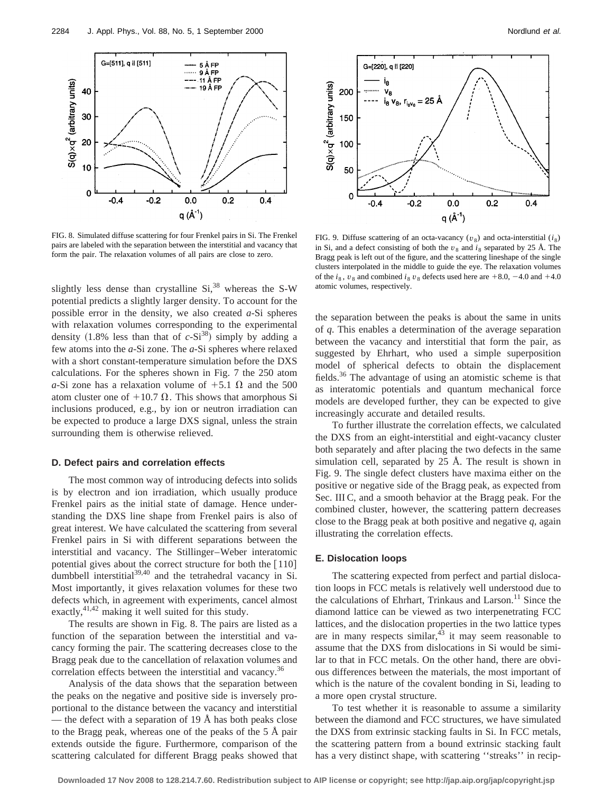

FIG. 8. Simulated diffuse scattering for four Frenkel pairs in Si. The Frenkel pairs are labeled with the separation between the interstitial and vacancy that form the pair. The relaxation volumes of all pairs are close to zero.

slightly less dense than crystalline  $Si$ ,  $38$  whereas the S-W potential predicts a slightly larger density. To account for the possible error in the density, we also created *a*-Si spheres with relaxation volumes corresponding to the experimental density  $(1.8\%$  less than that of  $c-Si^{38}$  simply by adding a few atoms into the *a*-Si zone. The *a*-Si spheres where relaxed with a short constant-temperature simulation before the DXS calculations. For the spheres shown in Fig. 7 the 250 atom *a*-Si zone has a relaxation volume of  $+5.1 \Omega$  and the 500 atom cluster one of  $+10.7 \Omega$ . This shows that amorphous Si inclusions produced, e.g., by ion or neutron irradiation can be expected to produce a large DXS signal, unless the strain surrounding them is otherwise relieved.

## **D. Defect pairs and correlation effects**

The most common way of introducing defects into solids is by electron and ion irradiation, which usually produce Frenkel pairs as the initial state of damage. Hence understanding the DXS line shape from Frenkel pairs is also of great interest. We have calculated the scattering from several Frenkel pairs in Si with different separations between the interstitial and vacancy. The Stillinger–Weber interatomic potential gives about the correct structure for both the  $[110]$ dumbbell interstitial $39,40$  and the tetrahedral vacancy in Si. Most importantly, it gives relaxation volumes for these two defects which, in agreement with experiments, cancel almost exactly, $4^{1,42}$  making it well suited for this study.

The results are shown in Fig. 8. The pairs are listed as a function of the separation between the interstitial and vacancy forming the pair. The scattering decreases close to the Bragg peak due to the cancellation of relaxation volumes and correlation effects between the interstitial and vacancy.<sup>36</sup>

Analysis of the data shows that the separation between the peaks on the negative and positive side is inversely proportional to the distance between the vacancy and interstitial — the defect with a separation of 19 Å has both peaks close to the Bragg peak, whereas one of the peaks of the 5 Å pair extends outside the figure. Furthermore, comparison of the scattering calculated for different Bragg peaks showed that



FIG. 9. Diffuse scattering of an octa-vacancy  $(v_8)$  and octa-interstitial  $(i_8)$ in Si, and a defect consisting of both the  $v_8$  and  $i_8$  separated by 25 Å. The Bragg peak is left out of the figure, and the scattering lineshape of the single clusters interpolated in the middle to guide the eye. The relaxation volumes of the  $i_8$ ,  $v_8$  and combined  $i_8 v_8$  defects used here are  $+8.0, -4.0$  and  $+4.0$ atomic volumes, respectively.

the separation between the peaks is about the same in units of *q*. This enables a determination of the average separation between the vacancy and interstitial that form the pair, as suggested by Ehrhart, who used a simple superposition model of spherical defects to obtain the displacement fields.36 The advantage of using an atomistic scheme is that as interatomic potentials and quantum mechanical force models are developed further, they can be expected to give increasingly accurate and detailed results.

To further illustrate the correlation effects, we calculated the DXS from an eight-interstitial and eight-vacancy cluster both separately and after placing the two defects in the same simulation cell, separated by 25 Å. The result is shown in Fig. 9. The single defect clusters have maxima either on the positive or negative side of the Bragg peak, as expected from Sec. III C, and a smooth behavior at the Bragg peak. For the combined cluster, however, the scattering pattern decreases close to the Bragg peak at both positive and negative *q*, again illustrating the correlation effects.

## **E. Dislocation loops**

The scattering expected from perfect and partial dislocation loops in FCC metals is relatively well understood due to the calculations of Ehrhart, Trinkaus and Larson.<sup>11</sup> Since the diamond lattice can be viewed as two interpenetrating FCC lattices, and the dislocation properties in the two lattice types are in many respects similar, $43$  it may seem reasonable to assume that the DXS from dislocations in Si would be similar to that in FCC metals. On the other hand, there are obvious differences between the materials, the most important of which is the nature of the covalent bonding in Si, leading to a more open crystal structure.

To test whether it is reasonable to assume a similarity between the diamond and FCC structures, we have simulated the DXS from extrinsic stacking faults in Si. In FCC metals, the scattering pattern from a bound extrinsic stacking fault has a very distinct shape, with scattering ''streaks'' in recip-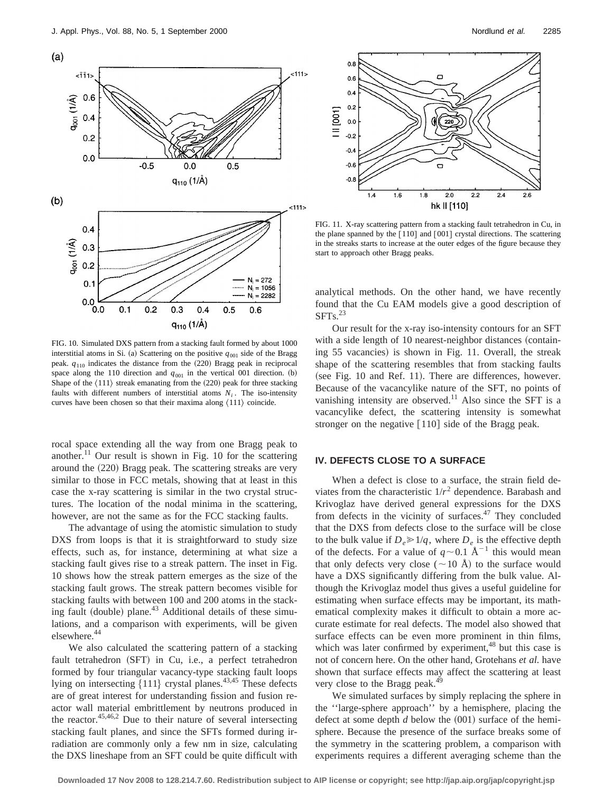

FIG. 10. Simulated DXS pattern from a stacking fault formed by about 1000 interstitial atoms in Si. (a) Scattering on the positive  $q_{001}$  side of the Bragg peak.  $q_{110}$  indicates the distance from the  $(220)$  Bragg peak in reciprocal space along the 110 direction and  $q_{001}$  in the vertical 001 direction. (b) Shape of the  $\langle 111 \rangle$  streak emanating from the  $(220)$  peak for three stacking faults with different numbers of interstitial atoms  $N_i$ . The iso-intensity curves have been chosen so that their maxima along  $\langle 111 \rangle$  coincide.

rocal space extending all the way from one Bragg peak to another.<sup>11</sup> Our result is shown in Fig. 10 for the scattering around the  $(220)$  Bragg peak. The scattering streaks are very similar to those in FCC metals, showing that at least in this case the x-ray scattering is similar in the two crystal structures. The location of the nodal minima in the scattering, however, are not the same as for the FCC stacking faults.

The advantage of using the atomistic simulation to study DXS from loops is that it is straightforward to study size effects, such as, for instance, determining at what size a stacking fault gives rise to a streak pattern. The inset in Fig. 10 shows how the streak pattern emerges as the size of the stacking fault grows. The streak pattern becomes visible for stacking faults with between 100 and 200 atoms in the stacking fault (double) plane. $43$  Additional details of these simulations, and a comparison with experiments, will be given elsewhere.<sup>44</sup>

We also calculated the scattering pattern of a stacking fault tetrahedron (SFT) in Cu, i.e., a perfect tetrahedron formed by four triangular vacancy-type stacking fault loops lying on intersecting  $\{111\}$  crystal planes.<sup>43,45</sup> These defects are of great interest for understanding fission and fusion reactor wall material embrittlement by neutrons produced in the reactor. $45,46,2$  Due to their nature of several intersecting stacking fault planes, and since the SFTs formed during irradiation are commonly only a few nm in size, calculating the DXS lineshape from an SFT could be quite difficult with



FIG. 11. X-ray scattering pattern from a stacking fault tetrahedron in Cu, in the plane spanned by the  $[110]$  and  $[001]$  crystal directions. The scattering in the streaks starts to increase at the outer edges of the figure because they start to approach other Bragg peaks.

analytical methods. On the other hand, we have recently found that the Cu EAM models give a good description of  $SFTs.<sup>23</sup>$ 

Our result for the x-ray iso-intensity contours for an SFT with a side length of 10 nearest-neighbor distances (containing 55 vacancies) is shown in Fig. 11. Overall, the streak shape of the scattering resembles that from stacking faults (see Fig. 10 and Ref. 11). There are differences, however. Because of the vacancylike nature of the SFT, no points of vanishing intensity are observed.<sup>11</sup> Also since the SFT is a vacancylike defect, the scattering intensity is somewhat stronger on the negative  $[110]$  side of the Bragg peak.

### **IV. DEFECTS CLOSE TO A SURFACE**

When a defect is close to a surface, the strain field deviates from the characteristic  $1/r^2$  dependence. Barabash and Krivoglaz have derived general expressions for the DXS from defects in the vicinity of surfaces. $47$  They concluded that the DXS from defects close to the surface will be close to the bulk value if  $D_e \ge 1/q$ , where  $D_e$  is the effective depth of the defects. For a value of  $q \sim 0.1$  Å<sup>-1</sup> this would mean that only defects very close ( $\sim$  10 Å) to the surface would have a DXS significantly differing from the bulk value. Although the Krivoglaz model thus gives a useful guideline for estimating when surface effects may be important, its mathematical complexity makes it difficult to obtain a more accurate estimate for real defects. The model also showed that surface effects can be even more prominent in thin films, which was later confirmed by experiment, $48$  but this case is not of concern here. On the other hand, Grotehans *et al.* have shown that surface effects may affect the scattering at least very close to the Bragg peak.<sup>49</sup>

We simulated surfaces by simply replacing the sphere in the ''large-sphere approach'' by a hemisphere, placing the defect at some depth  $d$  below the  $(001)$  surface of the hemisphere. Because the presence of the surface breaks some of the symmetry in the scattering problem, a comparison with experiments requires a different averaging scheme than the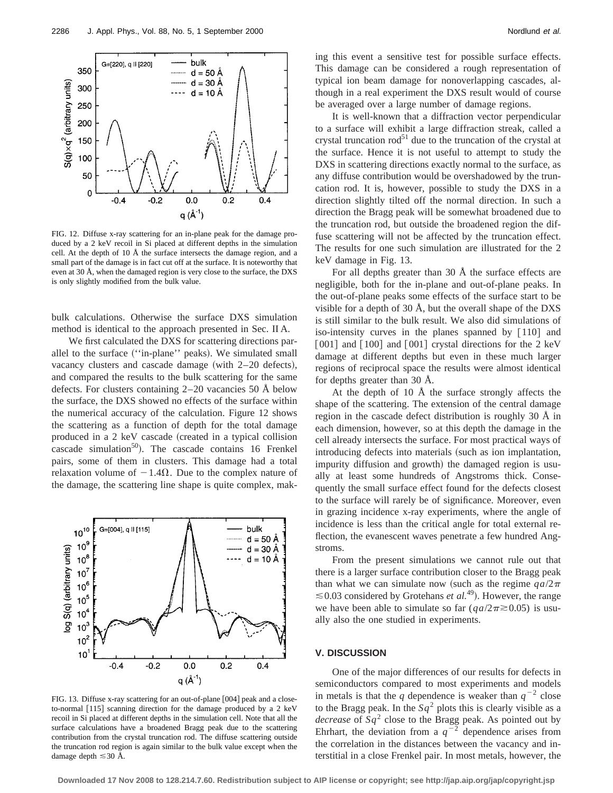

FIG. 12. Diffuse x-ray scattering for an in-plane peak for the damage produced by a 2 keV recoil in Si placed at different depths in the simulation cell. At the depth of 10 Å the surface intersects the damage region, and a small part of the damage is in fact cut off at the surface. It is noteworthy that even at 30 Å, when the damaged region is very close to the surface, the DXS is only slightly modified from the bulk value.

bulk calculations. Otherwise the surface DXS simulation method is identical to the approach presented in Sec. II A.

We first calculated the DXS for scattering directions parallel to the surface ("in-plane" peaks). We simulated small vacancy clusters and cascade damage (with  $2-20$  defects), and compared the results to the bulk scattering for the same defects. For clusters containing 2–20 vacancies 50 Å below the surface, the DXS showed no effects of the surface within the numerical accuracy of the calculation. Figure 12 shows the scattering as a function of depth for the total damage produced in a 2 keV cascade (created in a typical collision cascade simulation<sup>50</sup>). The cascade contains 16 Frenkel pairs, some of them in clusters. This damage had a total relaxation volume of  $-1.4\Omega$ . Due to the complex nature of the damage, the scattering line shape is quite complex, mak-



FIG. 13. Diffuse x-ray scattering for an out-of-plane [004] peak and a closeto-normal  $[115]$  scanning direction for the damage produced by a 2 keV recoil in Si placed at different depths in the simulation cell. Note that all the surface calculations have a broadened Bragg peak due to the scattering contribution from the crystal truncation rod. The diffuse scattering outside the truncation rod region is again similar to the bulk value except when the damage depth  $\leq 30$  Å.

ing this event a sensitive test for possible surface effects. This damage can be considered a rough representation of typical ion beam damage for nonoverlapping cascades, although in a real experiment the DXS result would of course be averaged over a large number of damage regions.

It is well-known that a diffraction vector perpendicular to a surface will exhibit a large diffraction streak, called a crystal truncation  $rod^{51}$  due to the truncation of the crystal at the surface. Hence it is not useful to attempt to study the DXS in scattering directions exactly normal to the surface, as any diffuse contribution would be overshadowed by the truncation rod. It is, however, possible to study the DXS in a direction slightly tilted off the normal direction. In such a direction the Bragg peak will be somewhat broadened due to the truncation rod, but outside the broadened region the diffuse scattering will not be affected by the truncation effect. The results for one such simulation are illustrated for the 2 keV damage in Fig. 13.

For all depths greater than 30 Å the surface effects are negligible, both for the in-plane and out-of-plane peaks. In the out-of-plane peaks some effects of the surface start to be visible for a depth of 30 Å, but the overall shape of the DXS is still similar to the bulk result. We also did simulations of iso-intensity curves in the planes spanned by  $\lceil 110 \rceil$  and  $[001]$  and  $[100]$  and  $[001]$  crystal directions for the 2 keV damage at different depths but even in these much larger regions of reciprocal space the results were almost identical for depths greater than 30 Å.

At the depth of 10 Å the surface strongly affects the shape of the scattering. The extension of the central damage region in the cascade defect distribution is roughly 30 Å in each dimension, however, so at this depth the damage in the cell already intersects the surface. For most practical ways of introducing defects into materials (such as ion implantation, impurity diffusion and growth) the damaged region is usually at least some hundreds of Angstroms thick. Consequently the small surface effect found for the defects closest to the surface will rarely be of significance. Moreover, even in grazing incidence x-ray experiments, where the angle of incidence is less than the critical angle for total external reflection, the evanescent waves penetrate a few hundred Angstroms.

From the present simulations we cannot rule out that there is a larger surface contribution closer to the Bragg peak than what we can simulate now (such as the regime  $qa/2\pi$  $\leq 0.03$  considered by Grotehans *et al.*<sup>49</sup>). However, the range we have been able to simulate so far  $\left(\frac{qa}{2\pi}\right)\geq0.05$  is usually also the one studied in experiments.

#### **V. DISCUSSION**

One of the major differences of our results for defects in semiconductors compared to most experiments and models in metals is that the *q* dependence is weaker than  $q^{-2}$  close to the Bragg peak. In the  $Sq^2$  plots this is clearly visible as a *decrease* of  $Sq^2$  close to the Bragg peak. As pointed out by Ehrhart, the deviation from a  $q^{-2}$  dependence arises from the correlation in the distances between the vacancy and interstitial in a close Frenkel pair. In most metals, however, the

**Downloaded 17 Nov 2008 to 128.214.7.60. Redistribution subject to AIP license or copyright; see http://jap.aip.org/jap/copyright.jsp**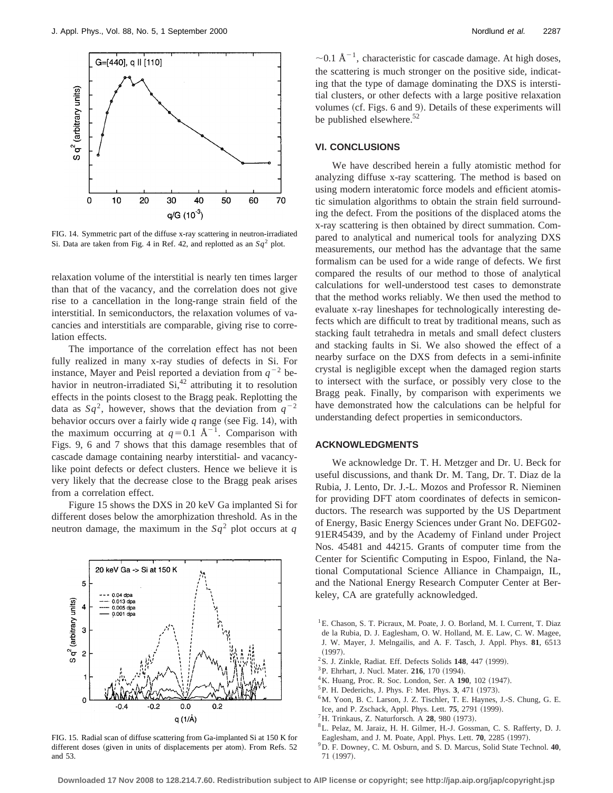

FIG. 14. Symmetric part of the diffuse x-ray scattering in neutron-irradiated Si. Data are taken from Fig. 4 in Ref. 42, and replotted as an  $Sq^2$  plot.

relaxation volume of the interstitial is nearly ten times larger than that of the vacancy, and the correlation does not give rise to a cancellation in the long-range strain field of the interstitial. In semiconductors, the relaxation volumes of vacancies and interstitials are comparable, giving rise to correlation effects.

The importance of the correlation effect has not been fully realized in many x-ray studies of defects in Si. For instance, Mayer and Peisl reported a deviation from  $q^{-2}$  behavior in neutron-irradiated  $Si<sub>1</sub><sup>42</sup>$  attributing it to resolution effects in the points closest to the Bragg peak. Replotting the data as  $Sq^2$ , however, shows that the deviation from  $q^{-2}$ behavior occurs over a fairly wide  $q$  range (see Fig. 14), with the maximum occurring at  $q=0.1 \text{ Å}^{-1}$ . Comparison with Figs. 9, 6 and 7 shows that this damage resembles that of cascade damage containing nearby interstitial- and vacancylike point defects or defect clusters. Hence we believe it is very likely that the decrease close to the Bragg peak arises from a correlation effect.

Figure 15 shows the DXS in 20 keV Ga implanted Si for different doses below the amorphization threshold. As in the neutron damage, the maximum in the  $Sq^2$  plot occurs at *q* 



FIG. 15. Radial scan of diffuse scattering from Ga-implanted Si at 150 K for different doses (given in units of displacements per atom). From Refs. 52 and 53.

 $\sim$ 0.1 Å<sup>-1</sup>, characteristic for cascade damage. At high doses, the scattering is much stronger on the positive side, indicating that the type of damage dominating the DXS is interstitial clusters, or other defects with a large positive relaxation volumes (cf. Figs. 6 and 9). Details of these experiments will be published elsewhere.<sup>52</sup>

#### **VI. CONCLUSIONS**

We have described herein a fully atomistic method for analyzing diffuse x-ray scattering. The method is based on using modern interatomic force models and efficient atomistic simulation algorithms to obtain the strain field surrounding the defect. From the positions of the displaced atoms the x-ray scattering is then obtained by direct summation. Compared to analytical and numerical tools for analyzing DXS measurements, our method has the advantage that the same formalism can be used for a wide range of defects. We first compared the results of our method to those of analytical calculations for well-understood test cases to demonstrate that the method works reliably. We then used the method to evaluate x-ray lineshapes for technologically interesting defects which are difficult to treat by traditional means, such as stacking fault tetrahedra in metals and small defect clusters and stacking faults in Si. We also showed the effect of a nearby surface on the DXS from defects in a semi-infinite crystal is negligible except when the damaged region starts to intersect with the surface, or possibly very close to the Bragg peak. Finally, by comparison with experiments we have demonstrated how the calculations can be helpful for understanding defect properties in semiconductors.

## **ACKNOWLEDGMENTS**

We acknowledge Dr. T. H. Metzger and Dr. U. Beck for useful discussions, and thank Dr. M. Tang, Dr. T. Diaz de la Rubia, J. Lento, Dr. J.-L. Mozos and Professor R. Nieminen for providing DFT atom coordinates of defects in semiconductors. The research was supported by the US Department of Energy, Basic Energy Sciences under Grant No. DEFG02- 91ER45439, and by the Academy of Finland under Project Nos. 45481 and 44215. Grants of computer time from the Center for Scientific Computing in Espoo, Finland, the National Computational Science Alliance in Champaign, IL, and the National Energy Research Computer Center at Berkeley, CA are gratefully acknowledged.

- <sup>1</sup>E. Chason, S. T. Picraux, M. Poate, J. O. Borland, M. I. Current, T. Diaz de la Rubia, D. J. Eaglesham, O. W. Holland, M. E. Law, C. W. Magee, J. W. Mayer, J. Melngailis, and A. F. Tasch, J. Appl. Phys. **81**, 6513  $(1997).$
- $2$ S. J. Zinkle, Radiat. Eff. Defects Solids  $148$ ,  $447$  (1999).
- <sup>3</sup>P. Ehrhart, J. Nucl. Mater. **216**, 170 (1994).
- <sup>4</sup> K. Huang, Proc. R. Soc. London, Ser. A 190, 102 (1947).
- <sup>5</sup>P. H. Dederichs, J. Phys. F: Met. Phys. 3, 471 (1973).
- 6M. Yoon, B. C. Larson, J. Z. Tischler, T. E. Haynes, J.-S. Chung, G. E.
- Ice, and P. Zschack, Appl. Phys. Lett. **75**, 2791 (1999).
- ${}^{7}$ H. Trinkaus, Z. Naturforsch. A  $28$ , 980 (1973).
- 8L. Pelaz, M. Jaraiz, H. H. Gilmer, H.-J. Gossman, C. S. Rafferty, D. J. Eaglesham, and J. M. Poate, Appl. Phys. Lett. **70**, 2285 (1997).
- 9D. F. Downey, C. M. Osburn, and S. D. Marcus, Solid State Technol. **40**, 71 (1997).

**Downloaded 17 Nov 2008 to 128.214.7.60. Redistribution subject to AIP license or copyright; see http://jap.aip.org/jap/copyright.jsp**